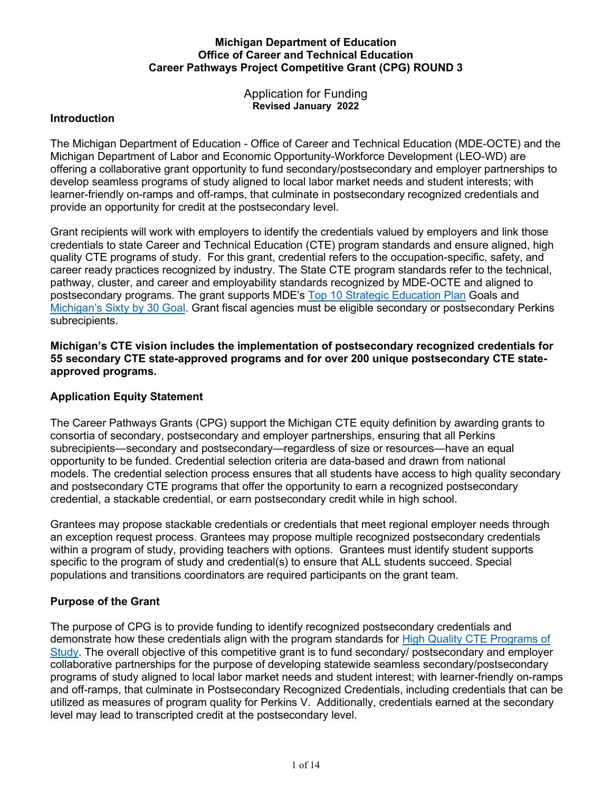## **Career Pathways Project Competitive Grant (CPG) ROUND 3 Michigan Department of Education Office of Career and Technical Education**

Application for Funding **Revised January 2022**

## **Introduction**

 provide an opportunity for credit at the postsecondary level. The Michigan Department of Education - Office of Career and Technical Education (MDE-OCTE) and the Michigan Department of Labor and Economic Opportunity-Workforce Development (LEO-WD) are offering a collaborative grant opportunity to fund secondary/postsecondary and employer partnerships to develop seamless programs of study aligned to local labor market needs and student interests; with learner-friendly on-ramps and off-ramps, that culminate in postsecondary recognized credentials and

 quality CTE programs of study. For this grant, credential refers to the occupation-specific, safety, and career ready practices recognized by industry. The State CTE program standards refer to the technical, postsecondary programs. The grant supports MDE's <u>Top 10 Strategic Education Plan</u> Goals and Grant recipients will work with employers to identify the credentials valued by employers and link those credentials to state Career and Technical Education (CTE) program standards and ensure aligned, high pathway, cluster, and career and employability standards recognized by MDE-OCTE and aligned to [Michigan's Sixty by 30 Goal.](https://www.sixtyby30.org/) Grant fiscal agencies must be eligible secondary or postsecondary Perkins subrecipients.

approved programs. **Michigan's CTE vision includes the implementation of postsecondary recognized credentials for 55 secondary CTE state-approved programs and for over 200 unique postsecondary CTE state-**

## **Application Equity Statement**

 The Career Pathways Grants (CPG) support the Michigan CTE equity definition by awarding grants to consortia of secondary, postsecondary and employer partnerships, ensuring that all Perkins subrecipients—secondary and postsecondary—regardless of size or resources—have an equal opportunity to be funded. Credential selection criteria are data-based and drawn from national and postsecondary CTE programs that offer the opportunity to earn a recognized postsecondary models. The credential selection process ensures that all students have access to high quality secondary credential, a stackable credential, or earn postsecondary credit while in high school.

 Grantees may propose stackable credentials or credentials that meet regional employer needs through an exception request process. Grantees may propose multiple recognized postsecondary credentials within a program of study, providing teachers with options. Grantees must identify student supports specific to the program of study and credential(s) to ensure that ALL students succeed. Special populations and transitions coordinators are required participants on the grant team.

## **Purpose of the Grant**

demonstrate how these credentials align with the program standards for <u>High Quality CTE Programs of</u> The purpose of CPG is to provide funding to identify recognized postsecondary credentials and [Study.](https://www.acteonline.org/professional-development/high-quality-cte-tools/) The overall objective of this competitive grant is to fund secondary/ postsecondary and employer collaborative partnerships for the purpose of developing statewide seamless secondary/postsecondary programs of study aligned to local labor market needs and student interest; with learner-friendly on-ramps and off-ramps, that culminate in Postsecondary Recognized Credentials, including credentials that can be utilized as measures of program quality for Perkins V. Additionally, credentials earned at the secondary level may lead to transcripted credit at the postsecondary level.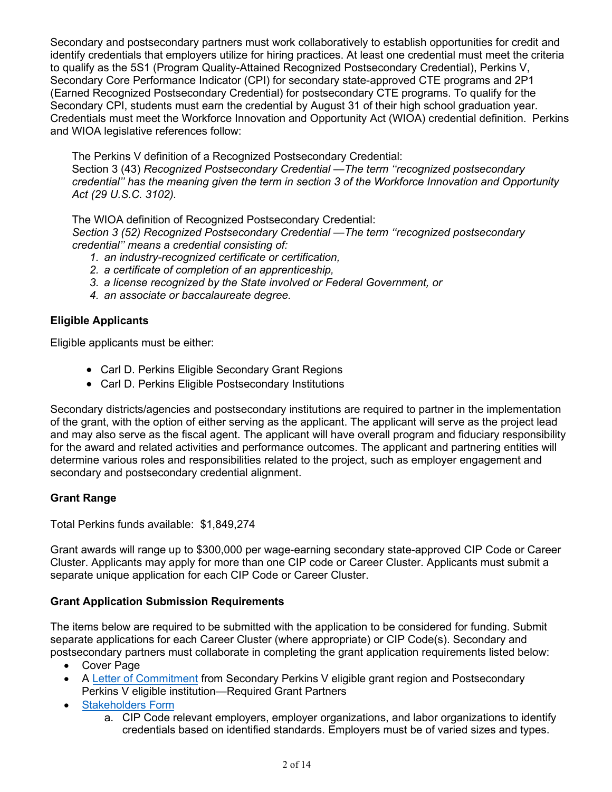identify credentials that employers utilize for hiring practices. At least one credential must meet the criteria to qualify as the 5S1 (Program Quality-Attained Recognized Postsecondary Credential), Perkins V, (Earned Recognized Postsecondary Credential) for postsecondary CTE programs. To qualify for the Secondary CPI, students must earn the credential by August 31 of their high school graduation year. Credentials must meet the Workforce Innovation and Opportunity Act (WIOA) credential definition. Perkins and WIOA legislative references follow: Secondary and postsecondary partners must work collaboratively to establish opportunities for credit and Secondary Core Performance Indicator (CPI) for secondary state-approved CTE programs and 2P1

The Perkins V definition of a Recognized Postsecondary Credential: Section 3 (43) *Recognized Postsecondary Credential —The term ''recognized postsecondary credential'' has the meaning given the term in section 3 of the Workforce Innovation and Opportunity Act (29 U.S.C. 3102).* 

The WIOA definition of Recognized Postsecondary Credential: *Section 3 (52) Recognized Postsecondary Credential —The term ''recognized postsecondary credential'' means a credential consisting of:* 

- *1. an industry-recognized certificate or certification,*
- *2. a certificate of completion of an apprenticeship,*
- *3. a license recognized by the State involved or Federal Government, or*
- *4. an associate or baccalaureate degree.*

## **Eligible Applicants**

Eligible applicants must be either:

- Carl D. Perkins Eligible Secondary Grant Regions
- Carl D. Perkins Eligible Postsecondary Institutions

 of the grant, with the option of either serving as the applicant. The applicant will serve as the project lead Secondary districts/agencies and postsecondary institutions are required to partner in the implementation and may also serve as the fiscal agent. The applicant will have overall program and fiduciary responsibility for the award and related activities and performance outcomes. The applicant and partnering entities will determine various roles and responsibilities related to the project, such as employer engagement and secondary and postsecondary credential alignment.

## **Grant Range**

Total Perkins funds available: \$1,849,274

 Grant awards will range up to \$300,000 per wage-earning secondary state-approved CIP Code or Career Cluster. Applicants may apply for more than one CIP code or Career Cluster. Applicants must submit a separate unique application for each CIP Code or Career Cluster.

## **Grant Application Submission Requirements**

 separate applications for each Career Cluster (where appropriate) or CIP Code(s). Secondary and postsecondary partners must collaborate in completing the grant application requirements listed below: The items below are required to be submitted with the application to be considered for funding. Submit

- Cover Page
- Perkins V eligible institution—Required Grant Partners • [A Letter of Commitment](https://www.michigan.gov/mde/-/media/Project/Websites/mde/CTE/cte_cpg/CPG3/Letter of Commitment Template CPG3.docx) from Secondary Perkins V eligible grant region and Postsecondary
- **[Stakeholders Form](https://www.michigan.gov/mde/-/media/Project/Websites/mde/CTE/cte_cpg/CPG3/Stakeholders Form CPG3)** 
	- a. CIP Code relevant employers, employer organizations, and labor organizations to identify credentials based on identified standards. Employers must be of varied sizes and types.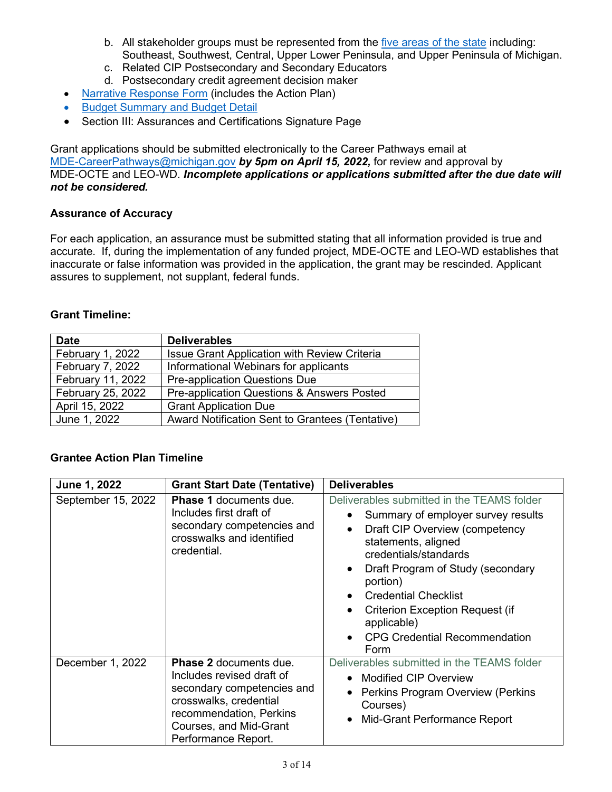- b. All stakeholder groups must be represented from the [five areas of the state](https://www.michigan.gov/mde/-/media/Project/Websites/mde/CTE/cte_cpg/CPG3/Map CPG3.pdf) including: Southeast, Southwest, Central, Upper Lower Peninsula, and Upper Peninsula of Michigan.
- c. Related CIP Postsecondary and Secondary Educators
- d. Postsecondary credit agreement decision maker
- [Narrative Response Form](https://www.michigan.gov/mde/-/media/Project/Websites/mde/CTE/cte_cpg/CPG3/Narrative Response Form CPG3.docx) (includes the Action Plan)
- [Budget Summary and Budget Detail](https://www.michigan.gov/mde/-/media/Project/Websites/mde/CTE/cte_cpg/CPG3/Budget_Summary_and_Detail_CPG3_747004_7.xlsx)
- Section III: Assurances and Certifications Signature Page

Grant applications should be submitted electronically to the Career Pathways email at [MDE-CareerPathways@michigan.gov](mailto:MDE-CareerPathways@michigan.gov) *by 5pm on April 15, 2022,* for review and approval by MDE-OCTE and LEO-WD. *Incomplete applications or applications submitted after the due date will not be considered.* 

#### **Assurance of Accuracy**

 accurate. If, during the implementation of any funded project, MDE-OCTE and LEO-WD establishes that inaccurate or false information was provided in the application, the grant may be rescinded. Applicant For each application, an assurance must be submitted stating that all information provided is true and assures to supplement, not supplant, federal funds.

#### **Grant Timeline:**

| <b>Date</b>       | <b>Deliverables</b>                                 |
|-------------------|-----------------------------------------------------|
| February 1, 2022  | <b>Issue Grant Application with Review Criteria</b> |
| February 7, 2022  | Informational Webinars for applicants               |
| February 11, 2022 | <b>Pre-application Questions Due</b>                |
| February 25, 2022 | Pre-application Questions & Answers Posted          |
| April 15, 2022    | <b>Grant Application Due</b>                        |
| June 1, 2022      | Award Notification Sent to Grantees (Tentative)     |

## **Grantee Action Plan Timeline**

| June 1, 2022       | <b>Grant Start Date (Tentative)</b>                                                                                                                                                            | <b>Deliverables</b>                                                                                                                                                                                                                                                                                                                                                                                                          |
|--------------------|------------------------------------------------------------------------------------------------------------------------------------------------------------------------------------------------|------------------------------------------------------------------------------------------------------------------------------------------------------------------------------------------------------------------------------------------------------------------------------------------------------------------------------------------------------------------------------------------------------------------------------|
| September 15, 2022 | <b>Phase 1 documents due.</b><br>Includes first draft of<br>secondary competencies and<br>crosswalks and identified<br>credential.                                                             | Deliverables submitted in the TEAMS folder<br>Summary of employer survey results<br>$\bullet$<br>Draft CIP Overview (competency<br>$\bullet$<br>statements, aligned<br>credentials/standards<br>Draft Program of Study (secondary<br>$\bullet$<br>portion)<br><b>Credential Checklist</b><br>$\bullet$<br><b>Criterion Exception Request (if</b><br>applicable)<br><b>CPG Credential Recommendation</b><br>$\bullet$<br>Form |
| December 1, 2022   | <b>Phase 2 documents due.</b><br>Includes revised draft of<br>secondary competencies and<br>crosswalks, credential<br>recommendation, Perkins<br>Courses, and Mid-Grant<br>Performance Report. | Deliverables submitted in the TEAMS folder<br>Modified CIP Overview<br>$\bullet$<br><b>Perkins Program Overview (Perkins</b><br>$\bullet$<br>Courses)<br>Mid-Grant Performance Report<br>$\bullet$                                                                                                                                                                                                                           |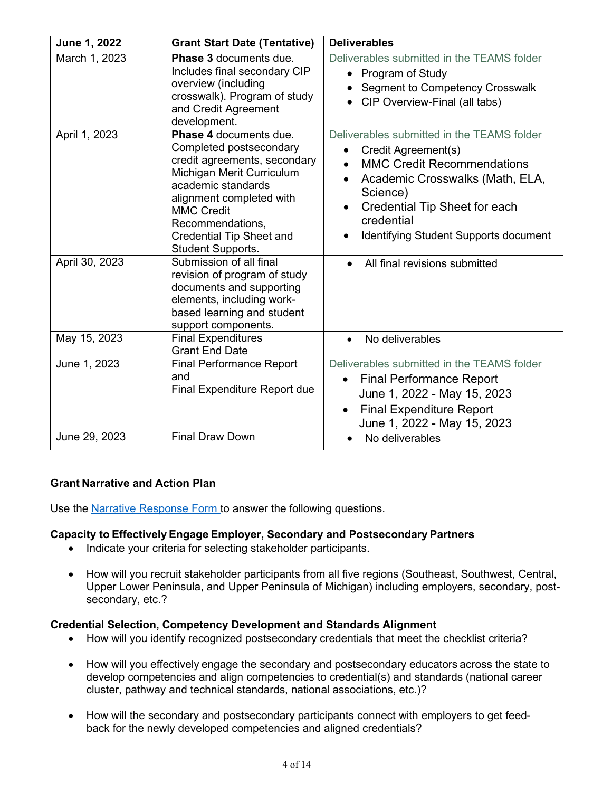| June 1, 2022   | <b>Grant Start Date (Tentative)</b>                                                                                                                                                                                                                                             | <b>Deliverables</b>                                                                                                                                                                                                                                        |
|----------------|---------------------------------------------------------------------------------------------------------------------------------------------------------------------------------------------------------------------------------------------------------------------------------|------------------------------------------------------------------------------------------------------------------------------------------------------------------------------------------------------------------------------------------------------------|
| March 1, 2023  | <b>Phase 3 documents due.</b><br>Includes final secondary CIP<br>overview (including<br>crosswalk). Program of study<br>and Credit Agreement<br>development.                                                                                                                    | Deliverables submitted in the TEAMS folder<br>Program of Study<br>$\bullet$<br><b>Segment to Competency Crosswalk</b><br>CIP Overview-Final (all tabs)<br>$\bullet$                                                                                        |
| April 1, 2023  | <b>Phase 4 documents due.</b><br>Completed postsecondary<br>credit agreements, secondary<br>Michigan Merit Curriculum<br>academic standards<br>alignment completed with<br><b>MMC Credit</b><br>Recommendations,<br><b>Credential Tip Sheet and</b><br><b>Student Supports.</b> | Deliverables submitted in the TEAMS folder<br>Credit Agreement(s)<br><b>MMC Credit Recommendations</b><br>Academic Crosswalks (Math, ELA,<br>$\bullet$<br>Science)<br>Credential Tip Sheet for each<br>credential<br>Identifying Student Supports document |
| April 30, 2023 | Submission of all final<br>revision of program of study<br>documents and supporting<br>elements, including work-<br>based learning and student<br>support components.                                                                                                           | All final revisions submitted                                                                                                                                                                                                                              |
| May 15, 2023   | <b>Final Expenditures</b><br><b>Grant End Date</b>                                                                                                                                                                                                                              | No deliverables                                                                                                                                                                                                                                            |
| June 1, 2023   | <b>Final Performance Report</b><br>and<br><b>Final Expenditure Report due</b>                                                                                                                                                                                                   | Deliverables submitted in the TEAMS folder<br><b>Final Performance Report</b><br>June 1, 2022 - May 15, 2023<br><b>Final Expenditure Report</b><br>$\bullet$<br>June 1, 2022 - May 15, 2023                                                                |
| June 29, 2023  | <b>Final Draw Down</b>                                                                                                                                                                                                                                                          | No deliverables<br>$\bullet$                                                                                                                                                                                                                               |

# **Grant Narrative and Action Plan**

Use the [Narrative Response Form t](https://www.michigan.gov/mde/-/media/Project/Websites/mde/CTE/cte_cpg/CPG3/Narrative Response Form CPG3.docx)o answer the following questions.

## **Capacity to Effectively Engage Employer, Secondary and Postsecondary Partners**

- Indicate your criteria for selecting stakeholder participants.
- Upper Lower Peninsula, and Upper Peninsula of Michigan) including employers, secondary, post-• How will you recruit stakeholder participants from all five regions (Southeast, Southwest, Central, secondary, etc.?

## **Credential Selection, Competency Development and Standards Alignment**

- How will you identify recognized postsecondary credentials that meet the checklist criteria?
- How will you effectively engage the secondary and postsecondary educators across the state to develop competencies and align competencies to credential(s) and standards (national career cluster, pathway and technical standards, national associations, etc.)?
- $\bullet$  back for the newly developed competencies and aligned credentials? • How will the secondary and postsecondary participants connect with employers to get feed-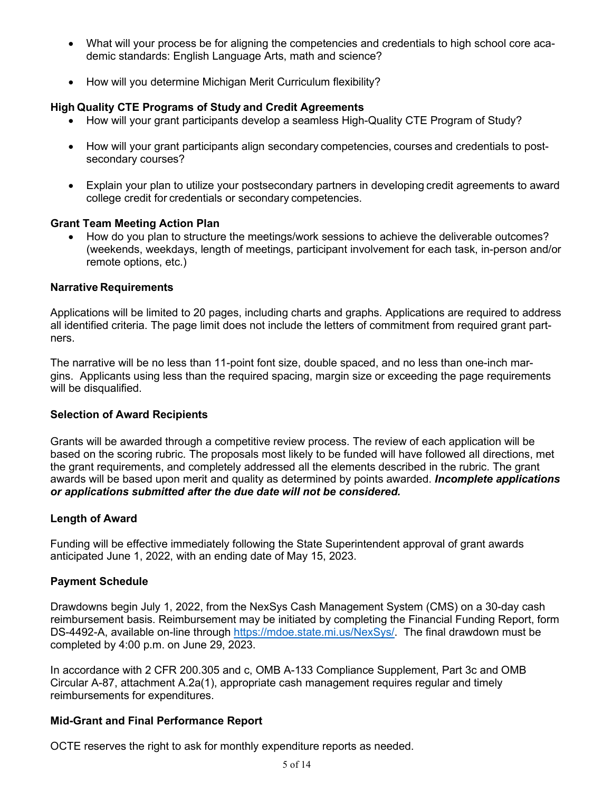- • What will your process be for aligning the competencies and credentials to high school core aca-demic standards: English Language Arts, math and science?
- How will you determine Michigan Merit Curriculum flexibility?

## **High Quality CTE Programs of Study and Credit Agreements**

- How will your grant participants develop a seamless High-Quality CTE Program of Study?
- How will your grant participants align secondary competencies, courses and credentials to post-secondary courses?
- • Explain your plan to utilize your postsecondary partners in developing credit agreements to award   college credit for credentials or secondary competencies.

## **Grant Team Meeting Action Plan**

 remote options, etc.) • How do you plan to structure the meetings/work sessions to achieve the deliverable outcomes? (weekends, weekdays, length of meetings, participant involvement for each task, in-person and/or

#### **Narrative Requirements**

 Applications will be limited to 20 pages, including charts and graphs. Applications are required to address ners. all identified criteria. The page limit does not include the letters of commitment from required grant part-

ners.<br>The narrative will be no less than 11-point font size, double spaced, and no less than one-inch mar- gins. Applicants using less than the required spacing, margin size or exceeding the page requirements will be disqualified.

## **Selection of Award Recipients**

 awards will be based upon merit and quality as determined by points awarded. *Incomplete applications*  Grants will be awarded through a competitive review process. The review of each application will be based on the scoring rubric. The proposals most likely to be funded will have followed all directions, met the grant requirements, and completely addressed all the elements described in the rubric. The grant *or applications submitted after the due date will not be considered.* 

## **Length of Award**

Funding will be effective immediately following the State Superintendent approval of grant awards anticipated June 1, 2022, with an ending date of May 15, 2023.

## **Payment Schedule**

 Drawdowns begin July 1, 2022, from the NexSys Cash Management System (CMS) on a 30-day cash reimbursement basis. Reimbursement may be initiated by completing the Financial Funding Report, form completed by 4:00 p.m. on June 29, 2023. DS-4492-A, available on-line through [https://mdoe.state.mi.us/NexSys/.](https://mdoe.state.mi.us/NexSys/) The final drawdown must be

 In accordance with 2 CFR 200.305 and c, OMB A-133 Compliance Supplement, Part 3c and OMB Circular A-87, attachment A.2a(1), appropriate cash management requires regular and timely reimbursements for expenditures.

## **Mid-Grant and Final Performance Report**

OCTE reserves the right to ask for monthly expenditure reports as needed.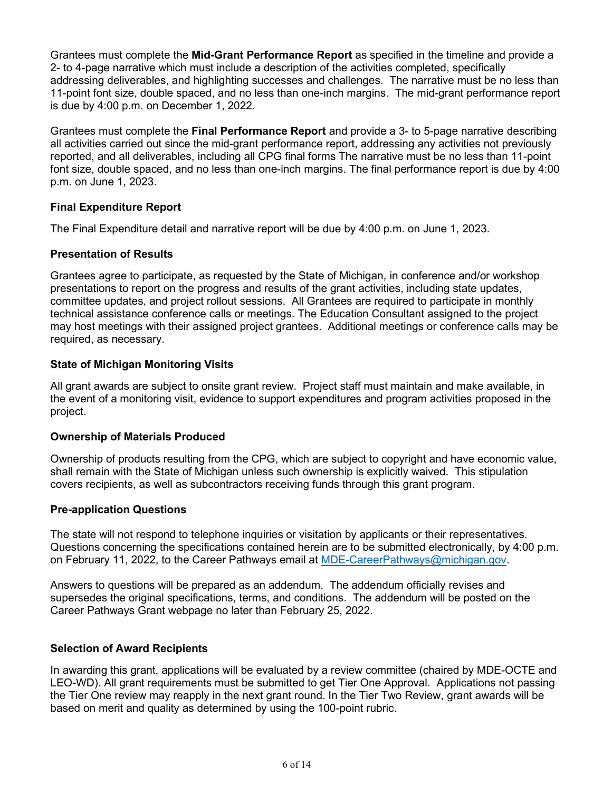11-point font size, double spaced, and no less than one-inch margins. The mid-grant performance report is due by 4:00 p.m. on December 1, 2022. Grantees must complete the **Mid-Grant Performance Report** as specified in the timeline and provide a 2- to 4-page narrative which must include a description of the activities completed, specifically addressing deliverables, and highlighting successes and challenges. The narrative must be no less than

Grantees must complete the **Final Performance Report** and provide a 3- to 5-page narrative describing all activities carried out since the mid-grant performance report, addressing any activities not previously reported, and all deliverables, including all CPG final forms The narrative must be no less than 11-point font size, double spaced, and no less than one-inch margins. The final performance report is due by 4:00 p.m. on June 1, 2023.

## **Final Expenditure Report**

The Final Expenditure detail and narrative report will be due by 4:00 p.m. on June 1, 2023.

## **Presentation of Results**

 Grantees agree to participate, as requested by the State of Michigan, in conference and/or workshop committee updates, and project rollout sessions. All Grantees are required to participate in monthly presentations to report on the progress and results of the grant activities, including state updates, technical assistance conference calls or meetings. The Education Consultant assigned to the project may host meetings with their assigned project grantees. Additional meetings or conference calls may be required, as necessary.

#### **State of Michigan Monitoring Visits**

 All grant awards are subject to onsite grant review. Project staff must maintain and make available, in the event of a monitoring visit, evidence to support expenditures and program activities proposed in the project.

#### **Ownership of Materials Produced**

 shall remain with the State of Michigan unless such ownership is explicitly waived. This stipulation Ownership of products resulting from the CPG, which are subject to copyright and have economic value, covers recipients, as well as subcontractors receiving funds through this grant program.

## **Pre-application Questions**

The state will not respond to telephone inquiries or visitation by applicants or their representatives. Questions concerning the specifications contained herein are to be submitted electronically, by 4:00 p.m. on February 11, 2022, to the Career Pathways email at [MDE-CareerPathways@michigan.gov.](mailto:MDE-CareerPathways@michigan.gov)

Answers to questions will be prepared as an addendum. The addendum officially revises and supersedes the original specifications, terms, and conditions. The addendum will be posted on the Career Pathways Grant webpage no later than February 25, 2022.

## **Selection of Award Recipients**

 the Tier One review may reapply in the next grant round. In the Tier Two Review, grant awards will be based on merit and quality as determined by using the 100-point rubric. In awarding this grant, applications will be evaluated by a review committee (chaired by MDE-OCTE and LEO-WD). All grant requirements must be submitted to get Tier One Approval. Applications not passing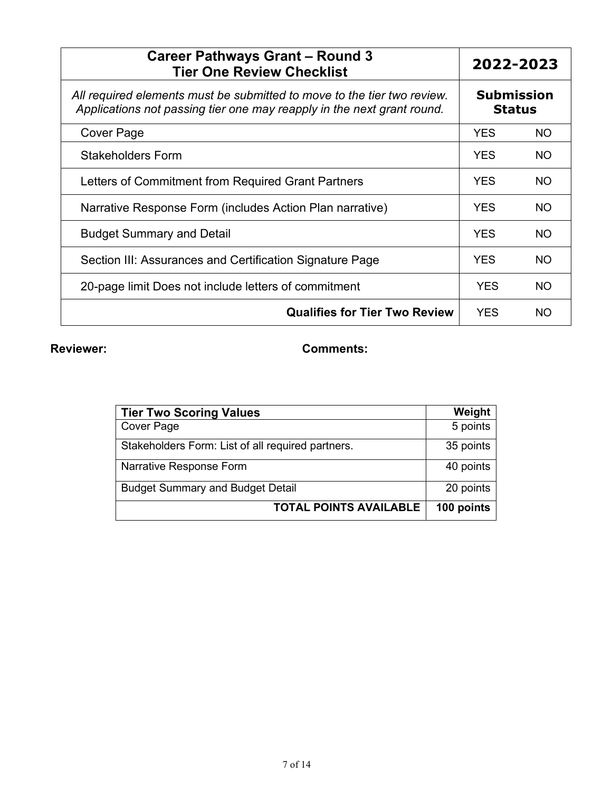| <b>Career Pathways Grant - Round 3</b><br><b>Tier One Review Checklist</b>                                                                        | 2022-2023                          |           |
|---------------------------------------------------------------------------------------------------------------------------------------------------|------------------------------------|-----------|
| All required elements must be submitted to move to the tier two review.<br>Applications not passing tier one may reapply in the next grant round. | <b>Submission</b><br><b>Status</b> |           |
| Cover Page                                                                                                                                        | <b>YES</b>                         | <b>NO</b> |
| Stakeholders Form                                                                                                                                 | <b>YES</b>                         | <b>NO</b> |
| Letters of Commitment from Required Grant Partners                                                                                                | <b>YES</b>                         | <b>NO</b> |
| Narrative Response Form (includes Action Plan narrative)                                                                                          | <b>YES</b>                         | <b>NO</b> |
| <b>Budget Summary and Detail</b>                                                                                                                  | <b>YES</b>                         | <b>NO</b> |
| Section III: Assurances and Certification Signature Page                                                                                          | <b>YES</b>                         | <b>NO</b> |
| 20-page limit Does not include letters of commitment                                                                                              | <b>YES</b>                         | <b>NO</b> |
| <b>Qualifies for Tier Two Review</b>                                                                                                              | <b>YES</b>                         | NO.       |

# **Reviewer: Comments:**

| <b>Tier Two Scoring Values</b>                    | Weight     |
|---------------------------------------------------|------------|
| <b>Cover Page</b>                                 | 5 points   |
| Stakeholders Form: List of all required partners. | 35 points  |
| Narrative Response Form                           | 40 points  |
| <b>Budget Summary and Budget Detail</b>           | 20 points  |
| <b>TOTAL POINTS AVAILABLE</b>                     | 100 points |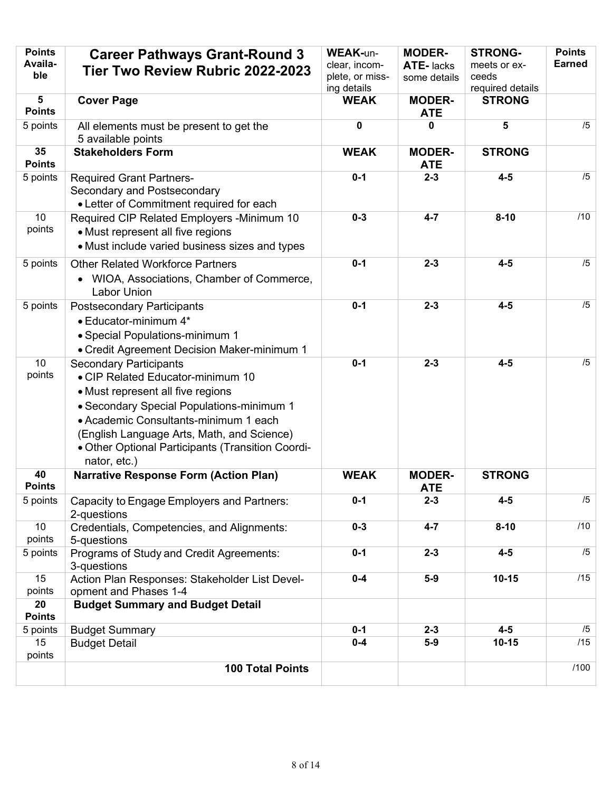| <b>Points</b><br>Availa-<br>ble | <b>Career Pathways Grant-Round 3</b><br>Tier Two Review Rubric 2022-2023                                                                                                                                                                                                                                         | <b>WEAK-un-</b><br>clear, incom-<br>plete, or miss-<br>ing details | <b>MODER-</b><br>ATE-lacks<br>some details | <b>STRONG-</b><br>meets or ex-<br>ceeds<br>required details | <b>Points</b><br><b>Earned</b> |
|---------------------------------|------------------------------------------------------------------------------------------------------------------------------------------------------------------------------------------------------------------------------------------------------------------------------------------------------------------|--------------------------------------------------------------------|--------------------------------------------|-------------------------------------------------------------|--------------------------------|
| 5<br><b>Points</b>              | <b>Cover Page</b>                                                                                                                                                                                                                                                                                                | <b>WEAK</b>                                                        | <b>MODER-</b><br><b>ATE</b>                | <b>STRONG</b>                                               |                                |
| 5 points                        | All elements must be present to get the<br>5 available points                                                                                                                                                                                                                                                    | 0                                                                  | 0                                          | 5                                                           | /5                             |
| 35<br><b>Points</b>             | <b>Stakeholders Form</b>                                                                                                                                                                                                                                                                                         | <b>WEAK</b>                                                        | <b>MODER-</b><br><b>ATE</b>                | <b>STRONG</b>                                               |                                |
| 5 points                        | <b>Required Grant Partners-</b><br>Secondary and Postsecondary<br>• Letter of Commitment required for each                                                                                                                                                                                                       | $0 - 1$                                                            | $2 - 3$                                    | $4 - 5$                                                     | /5                             |
| 10 <sup>°</sup><br>points       | Required CIP Related Employers - Minimum 10<br>• Must represent all five regions<br>• Must include varied business sizes and types                                                                                                                                                                               | $0 - 3$                                                            | $4 - 7$                                    | $8 - 10$                                                    | /10                            |
| 5 points                        | <b>Other Related Workforce Partners</b><br>WIOA, Associations, Chamber of Commerce,<br><b>Labor Union</b>                                                                                                                                                                                                        | $0 - 1$                                                            | $2 - 3$                                    | $4 - 5$                                                     | /5                             |
| 5 points                        | <b>Postsecondary Participants</b><br>• Educator-minimum 4*<br>• Special Populations-minimum 1<br>• Credit Agreement Decision Maker-minimum 1                                                                                                                                                                     | $0 - 1$                                                            | $2 - 3$                                    | $4 - 5$                                                     | /5                             |
| 10<br>points                    | <b>Secondary Participants</b><br>• CIP Related Educator-minimum 10<br>• Must represent all five regions<br>• Secondary Special Populations-minimum 1<br>• Academic Consultants-minimum 1 each<br>(English Language Arts, Math, and Science)<br>• Other Optional Participants (Transition Coordi-<br>nator, etc.) | $0 - 1$                                                            | $2 - 3$                                    | $4 - 5$                                                     | /5                             |
| 40<br><b>Points</b>             | <b>Narrative Response Form (Action Plan)</b>                                                                                                                                                                                                                                                                     | <b>WEAK</b>                                                        | <b>MODER-</b><br><b>ATE</b>                | <b>STRONG</b>                                               |                                |
| 5 points                        | Capacity to Engage Employers and Partners:<br>2-questions                                                                                                                                                                                                                                                        | $0 - 1$                                                            | $2 - 3$                                    | $4 - 5$                                                     | /5                             |
| 10 <sup>°</sup><br>points       | Credentials, Competencies, and Alignments:<br>5-questions                                                                                                                                                                                                                                                        | $0 - 3$                                                            | $4 - 7$                                    | $8 - 10$                                                    | /10                            |
| 5 points                        | Programs of Study and Credit Agreements:<br>3-questions                                                                                                                                                                                                                                                          | $0 - 1$                                                            | $2 - 3$                                    | $4 - 5$                                                     | /5                             |
| 15<br>points                    | Action Plan Responses: Stakeholder List Devel-<br>opment and Phases 1-4                                                                                                                                                                                                                                          | $0-4$                                                              | $5-9$                                      | $10 - 15$                                                   | /15                            |
| 20<br><b>Points</b>             | <b>Budget Summary and Budget Detail</b>                                                                                                                                                                                                                                                                          |                                                                    |                                            |                                                             |                                |
| 5 points                        | <b>Budget Summary</b>                                                                                                                                                                                                                                                                                            | $0 - 1$                                                            | $2 - 3$                                    | $4 - 5$                                                     | /5                             |
| 15<br>points                    | <b>Budget Detail</b>                                                                                                                                                                                                                                                                                             | $0 - 4$                                                            | $5-9$                                      | $10 - 15$                                                   | /15                            |
|                                 | <b>100 Total Points</b>                                                                                                                                                                                                                                                                                          |                                                                    |                                            |                                                             | /100                           |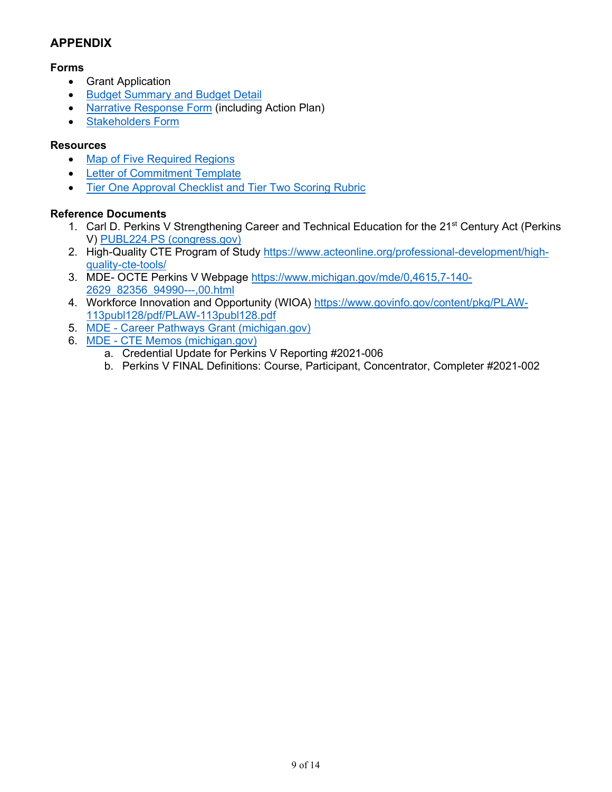# **APPENDIX**

## **Forms**

- Grant Application
- **[Budget Summary and Budget Detail](https://www.michigan.gov/mde/-/media/Project/Websites/mde/CTE/cte_cpg/CPG3/Budget_Summary_and_Detail_CPG3_747004_7.xlsx)**
- [Narrative Response Form](https://www.michigan.gov/mde/-/media/Project/Websites/mde/CTE/cte_cpg/CPG3/Narrative Response Form CPG3.docx) (including Action Plan)
- [Stakeholders Form](https://www.michigan.gov/mde/-/media/Project/Websites/mde/CTE/cte_cpg/CPG3/Stakeholders Form CPG3)

# **Resources**

- [Map of Five Required Regions](https://www.michigan.gov/mde/-/media/Project/Websites/mde/CTE/cte_cpg/CPG3/Map CPG3.pdf)
- [Letter of Commitment Template](https://www.michigan.gov/mde/-/media/Project/Websites/mde/CTE/cte_cpg/CPG3/Letter of Commitment Template CPG3.docx)
- [Tier One Approval Checklist and Tier Two Scoring Rubric](https://www.michigan.gov/mde/-/media/Project/Websites/mde/CTE/cte_cpg/CPG3/Tier One Approval Checklist and Tier Two Scoring Rubric CPG3.docx)

# **Reference Documents**

- 1. Carl D. Perkins V Strengthening Career and Technical Education for the 21<sup>st</sup> Century Act (Perkins V) [PUBL224.PS \(congress.gov\)](https://gcc02.safelinks.protection.outlook.com/?url=https%3A%2F%2Fwww.congress.gov%2F115%2Fplaws%2Fpubl224%2FPLAW-115publ224.pdf&data=04%7C01%7CMillerD66%40michigan.gov%7Ce8aad34c0f5e42c0453a08d9e2632e61%7Cd5fb7087377742ad966a892ef47225d1%7C0%7C0%7C637789737862324500%7CUnknown%7CTWFpbGZsb3d8eyJWIjoiMC4wLjAwMDAiLCJQIjoiV2luMzIiLCJBTiI6Ik1haWwiLCJXVCI6Mn0%3D%7C3000&sdata=7yJDD0yyB%2BrPY%2FCma5B%2FILEl%2BlRJF54dtvYNYCVtbrM%3D&reserved=0)
- 2. High-Quality CTE Program of Study [https://www.acteonline.org/professional-development/high](https://www.acteonline.org/professional-development/high-quality-cte-tools/)[quality-cte-tools/](https://www.acteonline.org/professional-development/high-quality-cte-tools/)
- 3. MDE- OCTE Perkins V Webpage <u>https://www.michigan.gov/mde/0,4615,7-140-</u> [2629\\_82356\\_94990---,00.html](https://www.michigan.gov/mde/0,4615,7-140-2629_82356_94990---,00.html)
- 4. Workforce Innovation and Opportunity (WIOA) <u>https://www.govinfo.gov/content/pkg/PLAW-</u> [113publ128/pdf/PLAW-113publ128.pdf](https://www.govinfo.gov/content/pkg/PLAW-113publ128/pdf/PLAW-113publ128.pdf)
- 5. MDE [Career Pathways Grant \(michigan.gov\)](https://www.michigan.gov/mde/services/octe/educators/funding-monitoring/career-pathways-grant)
- 6. MDE [CTE Memos \(michigan.gov\)](https://www.michigan.gov/mde/0,4615,7-140-2629_106240---,00.html)
	- a. Credential Update for Perkins V Reporting #2021-006
	- b. Perkins V FINAL Definitions: Course, Participant, Concentrator, Completer #2021-002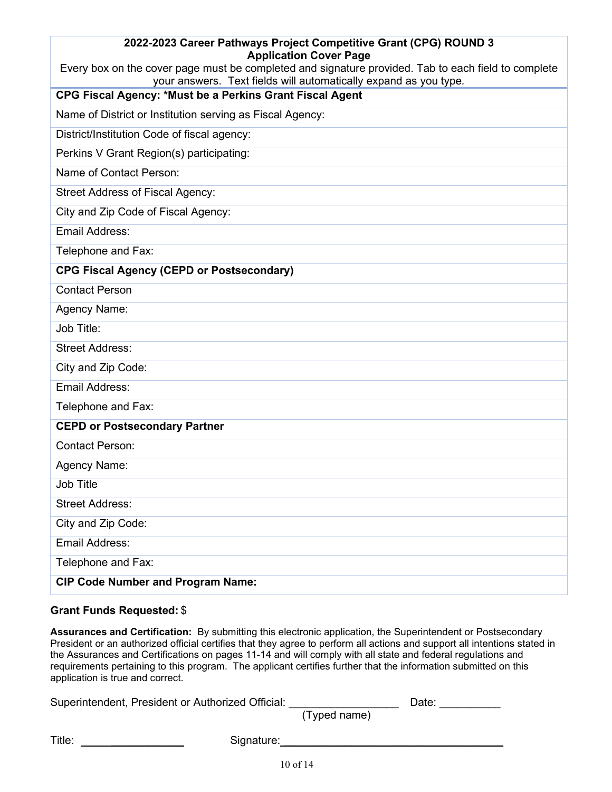| 2022-2023 Career Pathways Project Competitive Grant (CPG) ROUND 3<br><b>Application Cover Page</b>  |
|-----------------------------------------------------------------------------------------------------|
| Every box on the cover page must be completed and signature provided. Tab to each field to complete |
| your answers. Text fields will automatically expand as you type.                                    |
| CPG Fiscal Agency: *Must be a Perkins Grant Fiscal Agent                                            |
| Name of District or Institution serving as Fiscal Agency:                                           |
| District/Institution Code of fiscal agency:                                                         |
| Perkins V Grant Region(s) participating:                                                            |
| Name of Contact Person:                                                                             |
| <b>Street Address of Fiscal Agency:</b>                                                             |
| City and Zip Code of Fiscal Agency:                                                                 |
| <b>Email Address:</b>                                                                               |
| Telephone and Fax:                                                                                  |
| <b>CPG Fiscal Agency (CEPD or Postsecondary)</b>                                                    |
| <b>Contact Person</b>                                                                               |
| Agency Name:                                                                                        |
| Job Title:                                                                                          |
| <b>Street Address:</b>                                                                              |
| City and Zip Code:                                                                                  |
| <b>Email Address:</b>                                                                               |
| Telephone and Fax:                                                                                  |
| <b>CEPD or Postsecondary Partner</b>                                                                |
| <b>Contact Person:</b>                                                                              |
| Agency Name:                                                                                        |
| Job Title                                                                                           |
| <b>Street Address:</b>                                                                              |
| City and Zip Code:                                                                                  |
| <b>Email Address:</b>                                                                               |
| Telephone and Fax:                                                                                  |
| <b>CIP Code Number and Program Name:</b>                                                            |

# **Grant Funds Requested:** \$

**Assurances and Certification:** By submitting this electronic application, the Superintendent or Postsecondary President or an authorized official certifies that they agree to perform all actions and support all intentions stated in the Assurances and Certifications on pages 11-14 and will comply with all state and federal regulations and requirements pertaining to this program. The applicant certifies further that the information submitted on this application is true and correct.

| Superintendent, President or Authorized Official: |              | Date: |  |
|---------------------------------------------------|--------------|-------|--|
|                                                   | (Typed name) |       |  |
| Title:<br>Signature:                              |              |       |  |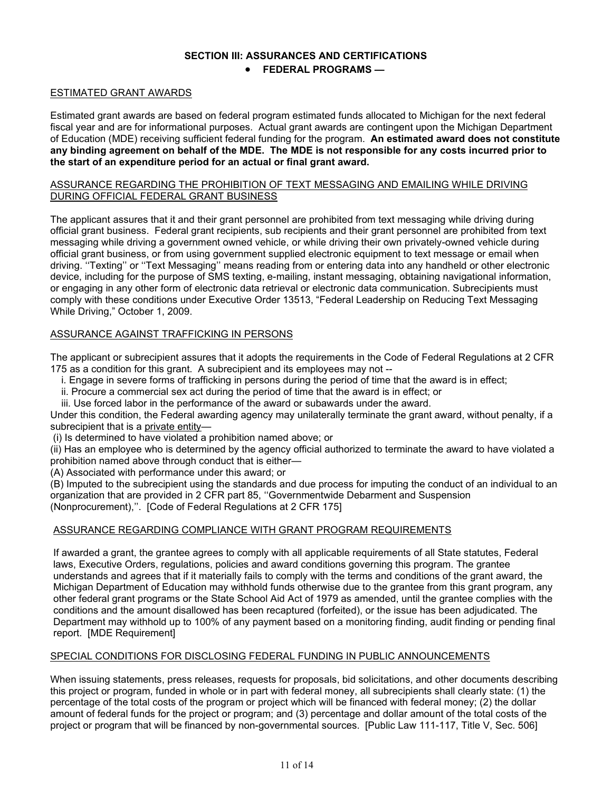#### **SECTION III: ASSURANCES AND CERTIFICATIONS**

#### • **FEDERAL PROGRAMS —**

#### ESTIMATED GRANT AWARDS

 fiscal year and are for informational purposes. Actual grant awards are contingent upon the Michigan Department of Education (MDE) receiving sufficient federal funding for the program. **An estimated award does not constitute any binding agreement on behalf of the MDE. The MDE is not responsible for any costs incurred prior to**  Estimated grant awards are based on federal program estimated funds allocated to Michigan for the next federal **the start of an expenditure period for an actual or final grant award.** 

#### ASSURANCE REGARDING THE PROHIBITION OF TEXT MESSAGING AND EMAILING WHILE DRIVING DURING OFFICIAL FEDERAL GRANT BUSINESS

 official grant business. Federal grant recipients, sub recipients and their grant personnel are prohibited from text official grant business, or from using government supplied electronic equipment to text message or email when driving. ''Texting'' or ''Text Messaging'' means reading from or entering data into any handheld or other electronic While Driving," October 1, 2009. The applicant assures that it and their grant personnel are prohibited from text messaging while driving during messaging while driving a government owned vehicle, or while driving their own privately-owned vehicle during device, including for the purpose of SMS texting, e-mailing, instant messaging, obtaining navigational information, or engaging in any other form of electronic data retrieval or electronic data communication. Subrecipients must comply with these conditions under Executive Order 13513, "Federal Leadership on Reducing Text Messaging

#### ASSURANCE AGAINST TRAFFICKING IN PERSONS

 The applicant or subrecipient assures that it adopts the requirements in the Code of Federal Regulations at 2 CFR 175 as a condition for this grant. A subrecipient and its employees may not --

- i. Engage in severe forms of trafficking in persons during the period of time that the award is in effect;
- ii. Procure a commercial sex act during the period of time that the award is in effect; or
- iii. Use forced labor in the performance of the award or subawards under the award.

Under this condition, the Federal awarding agency may unilaterally terminate the grant award, without penalty, if a subrecipient that is a private entity—

(i) Is determined to have violated a prohibition named above; or

(ii) Has an employee who is determined by the agency official authorized to terminate the award to have violated a prohibition named above through conduct that is either—

(A) Associated with performance under this award; or

(B) Imputed to the subrecipient using the standards and due process for imputing the conduct of an individual to an organization that are provided in 2 CFR part 85, ''Governmentwide Debarment and Suspension (Nonprocurement),''. [Code of Federal Regulations at 2 CFR 175]

#### ASSURANCE REGARDING COMPLIANCE WITH GRANT PROGRAM REQUIREMENTS

 If awarded a grant, the grantee agrees to comply with all applicable requirements of all State statutes, Federal understands and agrees that if it materially fails to comply with the terms and conditions of the grant award, the laws, Executive Orders, regulations, policies and award conditions governing this program. The grantee Michigan Department of Education may withhold funds otherwise due to the grantee from this grant program, any other federal grant programs or the State School Aid Act of 1979 as amended, until the grantee complies with the conditions and the amount disallowed has been recaptured (forfeited), or the issue has been adjudicated. The Department may withhold up to 100% of any payment based on a monitoring finding, audit finding or pending final report. [MDE Requirement]

#### SPECIAL CONDITIONS FOR DISCLOSING FEDERAL FUNDING IN PUBLIC ANNOUNCEMENTS

 this project or program, funded in whole or in part with federal money, all subrecipients shall clearly state: (1) the percentage of the total costs of the program or project which will be financed with federal money; (2) the dollar amount of federal funds for the project or program; and (3) percentage and dollar amount of the total costs of the When issuing statements, press releases, requests for proposals, bid solicitations, and other documents describing project or program that will be financed by non-governmental sources. [Public Law 111-117, Title V, Sec. 506]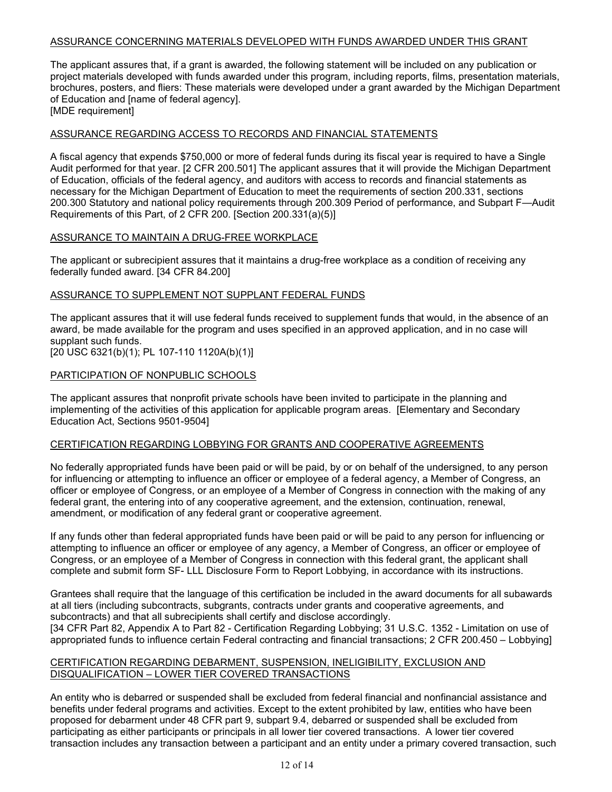#### ASSURANCE CONCERNING MATERIALS DEVELOPED WITH FUNDS AWARDED UNDER THIS GRANT

 The applicant assures that, if a grant is awarded, the following statement will be included on any publication or project materials developed with funds awarded under this program, including reports, films, presentation materials, brochures, posters, and fliers: These materials were developed under a grant awarded by the Michigan Department of Education and [name of federal agency].

[MDE requirement]

#### ASSURANCE REGARDING ACCESS TO RECORDS AND FINANCIAL STATEMENTS

A fiscal agency that expends \$750,000 or more of federal funds during its fiscal year is required to have a Single Audit performed for that year. [2 CFR 200.501] The applicant assures that it will provide the Michigan Department of Education, officials of the federal agency, and auditors with access to records and financial statements as necessary for the Michigan Department of Education to meet the requirements of section 200.331, sections 200.300 Statutory and national policy requirements through 200.309 Period of performance, and Subpart F—Audit Requirements of this Part, of 2 CFR 200. [Section 200.331(a)(5)]

#### ASSURANCE TO MAINTAIN A DRUG-FREE WORKPLACE

The applicant or subrecipient assures that it maintains a drug-free workplace as a condition of receiving any federally funded award. [34 CFR 84.200]

#### ASSURANCE TO SUPPLEMENT NOT SUPPLANT FEDERAL FUNDS

The applicant assures that it will use federal funds received to supplement funds that would, in the absence of an award, be made available for the program and uses specified in an approved application, and in no case will supplant such funds.

[20 USC 6321(b)(1); PL 107-110 1120A(b)(1)]

#### PARTICIPATION OF NONPUBLIC SCHOOLS

 The applicant assures that nonprofit private schools have been invited to participate in the planning and implementing of the activities of this application for applicable program areas. [Elementary and Secondary Education Act, Sections 9501-9504]

#### CERTIFICATION REGARDING LOBBYING FOR GRANTS AND COOPERATIVE AGREEMENTS

 No federally appropriated funds have been paid or will be paid, by or on behalf of the undersigned, to any person for influencing or attempting to influence an officer or employee of a federal agency, a Member of Congress, an officer or employee of Congress, or an employee of a Member of Congress in connection with the making of any federal grant, the entering into of any cooperative agreement, and the extension, continuation, renewal, amendment, or modification of any federal grant or cooperative agreement.

 attempting to influence an officer or employee of any agency, a Member of Congress, an officer or employee of complete and submit form SF- LLL Disclosure Form to Report Lobbying, in accordance with its instructions. If any funds other than federal appropriated funds have been paid or will be paid to any person for influencing or Congress, or an employee of a Member of Congress in connection with this federal grant, the applicant shall

Grantees shall require that the language of this certification be included in the award documents for all subawards at all tiers (including subcontracts, subgrants, contracts under grants and cooperative agreements, and subcontracts) and that all subrecipients shall certify and disclose accordingly.

 appropriated funds to influence certain Federal contracting and financial transactions; 2 CFR 200.450 – Lobbying] [34 CFR Part 82, Appendix A to Part 82 - Certification Regarding Lobbying; 31 U.S.C. 1352 - Limitation on use of

#### CERTIFICATION REGARDING DEBARMENT, SUSPENSION, INELIGIBILITY, EXCLUSION AND DISQUALIFICATION – LOWER TIER COVERED TRANSACTIONS

 benefits under federal programs and activities. Except to the extent prohibited by law, entities who have been proposed for debarment under 48 CFR part 9, subpart 9.4, debarred or suspended shall be excluded from An entity who is debarred or suspended shall be excluded from federal financial and nonfinancial assistance and participating as either participants or principals in all lower tier covered transactions. A lower tier covered transaction includes any transaction between a participant and an entity under a primary covered transaction, such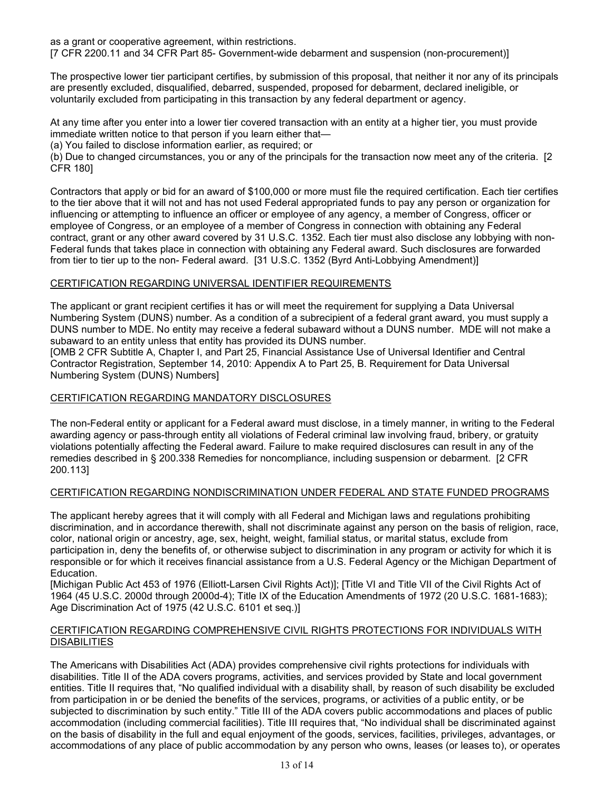as a grant or cooperative agreement, within restrictions. [7 CFR 2200.11 and 34 CFR Part 85- Government-wide debarment and suspension (non-procurement)]

 The prospective lower tier participant certifies, by submission of this proposal, that neither it nor any of its principals are presently excluded, disqualified, debarred, suspended, proposed for debarment, declared ineligible, or voluntarily excluded from participating in this transaction by any federal department or agency.

immediate written notice to that person if you learn either that-At any time after you enter into a lower tier covered transaction with an entity at a higher tier, you must provide

(a) You failed to disclose information earlier, as required; or

 (b) Due to changed circumstances, you or any of the principals for the transaction now meet any of the criteria. [2 CFR 180]

 contract, grant or any other award covered by 31 U.S.C. 1352. Each tier must also disclose any lobbying with non- from tier to tier up to the non- Federal award. [31 U.S.C. 1352 (Byrd Anti-Lobbying Amendment)] Contractors that apply or bid for an award of \$100,000 or more must file the required certification. Each tier certifies to the tier above that it will not and has not used Federal appropriated funds to pay any person or organization for influencing or attempting to influence an officer or employee of any agency, a member of Congress, officer or employee of Congress, or an employee of a member of Congress in connection with obtaining any Federal Federal funds that takes place in connection with obtaining any Federal award. Such disclosures are forwarded

#### CERTIFICATION REGARDING UNIVERSAL IDENTIFIER REQUIREMENTS

 The applicant or grant recipient certifies it has or will meet the requirement for supplying a Data Universal DUNS number to MDE. No entity may receive a federal subaward without a DUNS number. MDE will not make a subaward to an entity unless that entity has provided its DUNS number. Numbering System (DUNS) number. As a condition of a subrecipient of a federal grant award, you must supply a

 Contractor Registration, September 14, 2010: Appendix A to Part 25, B. Requirement for Data Universal [OMB 2 CFR Subtitle A, Chapter I, and Part 25, Financial Assistance Use of Universal Identifier and Central Numbering System (DUNS) Numbers]

## CERTIFICATION REGARDING MANDATORY DISCLOSURES

The non-Federal entity or applicant for a Federal award must disclose, in a timely manner, in writing to the Federal awarding agency or pass-through entity all violations of Federal criminal law involving fraud, bribery, or gratuity violations potentially affecting the Federal award. Failure to make required disclosures can result in any of the remedies described in § 200.338 Remedies for noncompliance, including suspension or debarment. [2 CFR 200.113]

#### CERTIFICATION REGARDING NONDISCRIMINATION UNDER FEDERAL AND STATE FUNDED PROGRAMS

 discrimination, and in accordance therewith, shall not discriminate against any person on the basis of religion, race, The applicant hereby agrees that it will comply with all Federal and Michigan laws and regulations prohibiting color, national origin or ancestry, age, sex, height, weight, familial status, or marital status, exclude from participation in, deny the benefits of, or otherwise subject to discrimination in any program or activity for which it is responsible or for which it receives financial assistance from a U.S. Federal Agency or the Michigan Department of Education.

 [Michigan Public Act 453 of 1976 (Elliott-Larsen Civil Rights Act)]; [Title VI and Title VII of the Civil Rights Act of 1964 (45 U.S.C. 2000d through 2000d-4); Title IX of the Education Amendments of 1972 (20 U.S.C. 1681-1683); Age Discrimination Act of 1975 (42 U.S.C. 6101 et seq.)]

#### CERTIFICATION REGARDING COMPREHENSIVE CIVIL RIGHTS PROTECTIONS FOR INDIVIDUALS WITH **DISABILITIES**

 on the basis of disability in the full and equal enjoyment of the goods, services, facilities, privileges, advantages, or The Americans with Disabilities Act (ADA) provides comprehensive civil rights protections for individuals with disabilities. Title II of the ADA covers programs, activities, and services provided by State and local government entities. Title II requires that, "No qualified individual with a disability shall, by reason of such disability be excluded from participation in or be denied the benefits of the services, programs, or activities of a public entity, or be subjected to discrimination by such entity." Title III of the ADA covers public accommodations and places of public accommodation (including commercial facilities). Title III requires that, "No individual shall be discriminated against accommodations of any place of public accommodation by any person who owns, leases (or leases to), or operates